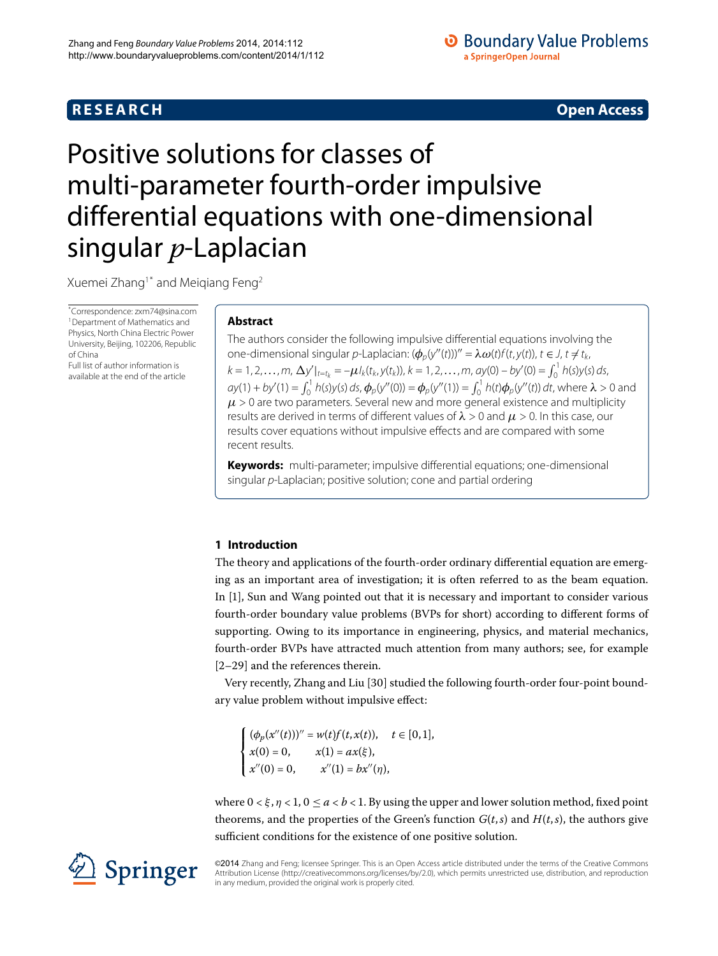# **R E S E A R C H Open Access**

# <span id="page-0-0"></span>Positive solutions for classes of multi-parameter fourth-order impulsive differential equations with one-dimensional singular *p*-Laplacian

Xuemei Zhang<sup>1[\\*](#page-0-0)</sup> and Meiqiang Feng<sup>[2](#page-14-1)</sup>

\* Correspondence: [zxm74@sina.com](mailto:zxm74@sina.com) [1](#page-14-0)Department of Mathematics and Physics, North China Electric Power University, Beijing, 102206, Republic of China

Full list of author information is available at the end of the article

# **Abstract**

The authors consider the following impulsive differential equations involving the one-dimensional singular *p*-Laplacian:  $(\phi_p(y''(t)))'' = \lambda \omega(t) f(t, y(t)), t \in J, t \neq t_k$  $k = 1, 2, \ldots, m$ ,  $\Delta y'|_{t=t_k} = -\mu I_k(t_k, y(t_k))$ ,  $k = 1, 2, \ldots, m$ ,  $ay(0) - by'(0) = \int_0^1 h(s)y(s) ds$ ,  $ay(1) + by'(1) = \int_0^1 h(s)y(s) ds$ ,  $\phi_p(y''(0)) = \phi_p(y''(1)) = \int_0^1 h(t)\phi_p(y''(t)) dt$ , where  $\lambda > 0$  and  $\mu$  > 0 are two parameters. Several new and more general existence and multiplicity results are derived in terms of different values of *λ* > 0 and *μ* > 0. In this case, our results cover equations without impulsive effects and are compared with some recent results.

**Keywords:** multi-parameter; impulsive differential equations; one-dimensional singular p-Laplacian; positive solution; cone and partial ordering

# **1 Introduction**

The theory and applications of the fourth-order ordinary differential equation are emerging as an important area of investigation; it is often referred to as the beam equation. In [], Sun and Wang pointed out that it is necessary and important to consider various fourth-order boundary value problems (BVPs for short) according to different forms of supporting. Owing to its importance in engineering, physics, and material mechanics, fourth-order BVPs have attracted much attention from many authors; see, for example  $[2-29]$  $[2-29]$  and the references therein.

Very recently, Zhang and Liu [30] studied the following fourth-order four-point boundary value problem without impulsive effect:

 $\sqrt{ }$  $\int$  $\mathbf{I}$  $(\phi_p(x''(t)))'' = w(t)f(t, x(t)), \quad t \in [0, 1],$  $x(0) = 0,$   $x(1) = ax(\xi),$  $x''(0) = 0,$   $x''(1) = bx''(\eta),$ 

where  $0 \lt \xi$ ,  $\eta \lt 1$ ,  $0 \le a \lt b \lt 1$ . By using the upper and lower solution method, fixed point theorems, and the properties of the Green's function  $G(t, s)$  and  $H(t, s)$ , the authors give sufficient conditions for the existence of one positive solution.



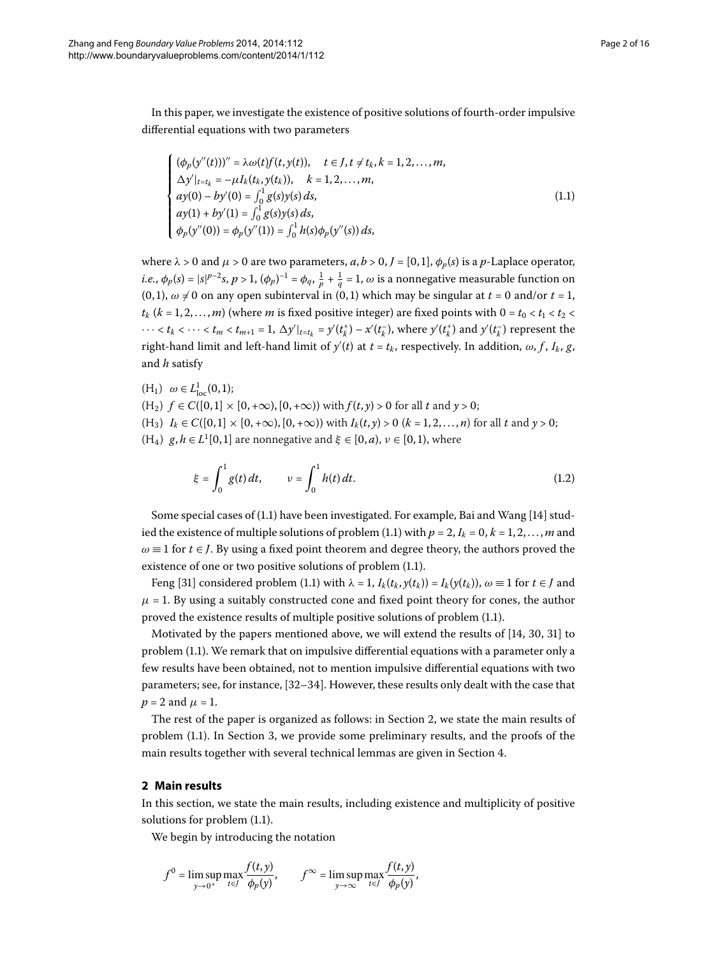In this paper, we investigate the existence of positive solutions of fourth-order impulsive differential equations with two parameters

<span id="page-1-0"></span>
$$
\begin{cases}\n(\phi_p(y''(t)))'' = \lambda \omega(t) f(t, y(t)), & t \in J, t \neq t_k, k = 1, 2, ..., m, \\
\Delta y'|_{t=t_k} = -\mu I_k(t_k, y(t_k)), & k = 1, 2, ..., m, \\
ay(0) - by'(0) = \int_0^1 g(s) y(s) ds, \\
ay(1) + by'(1) = \int_0^1 g(s) y(s) ds, \\
\phi_p(y''(0)) = \phi_p(y''(1)) = \int_0^1 h(s) \phi_p(y''(s)) ds,\n\end{cases}
$$
\n(1.1)

where  $\lambda > 0$  and  $\mu > 0$  are two parameters,  $a, b > 0, J = [0, 1], \phi_p(s)$  is a *p*-Laplace operator, *i.e.*,  $\phi_p(s) = |s|^{p-2}s$ ,  $p > 1$ ,  $(\phi_p)^{-1} = \phi_q$ ,  $\frac{1}{p} + \frac{1}{q} = 1$ ,  $\omega$  is a nonnegative measurable function on  $(0, 1)$ ,  $\omega \neq 0$  on any open subinterval in  $(0, 1)$  which may be singular at  $t = 0$  and/or  $t = 1$ ,  $t_k$  ( $k = 1, 2, \ldots, m$ ) (where *m* is fixed positive integer) are fixed points with  $0 = t_0 < t_1 < t_2 <$  $\cdots < t_k < \cdots < t_m < t_{m+1} = 1$ ,  $\Delta y'|_{t=t_k} = y'(t_k^+) - x'(t_k^-)$ , where  $y'(t_k^+)$  and  $y'(t_k^-)$  represent the right-hand limit and left-hand limit of  $y'(t)$  at  $t$  =  $t_k$ , respectively. In addition,  $\omega, f, I_k, g,$ and *h* satisfy

 $(H_1) \ \omega \in L^1_{loc}(0,1);$  $(H_2)$   $f \in C([0, 1] \times [0, +\infty), [0, +\infty))$  with  $f(t, y) > 0$  for all *t* and  $y > 0$ ;  $(H_3)$   $I_k \in C([0, 1] \times [0, +\infty), [0, +\infty))$  with  $I_k(t, y) > 0$   $(k = 1, 2, ..., n)$  for all t and  $y > 0$ ;  $(H_4)$   $g, h \in L^1[0,1]$  are nonnegative and  $\xi \in [0, a)$ ,  $v \in [0, 1)$ , where

$$
\xi = \int_0^1 g(t) \, dt, \qquad v = \int_0^1 h(t) \, dt. \tag{1.2}
$$

Some special cases of  $(1.1)$  have been investigated. For example, Bai and Wang  $[14]$  studied the existence of multiple solutions of problem (1.1) with  $p = 2$ ,  $I_k = 0$ ,  $k = 1, 2, ..., m$  and  $\omega \equiv 1$  for  $t \in J$ . By using a fixed point theorem and degree theory, the authors proved the existence of one or two positive solutions of problem  $(1.1)$ .

Feng [31[\]](#page-15-2) considered problem (1.1) with  $\lambda = 1$ ,  $I_k(t_k, y(t_k)) = I_k(y(t_k))$ ,  $\omega \equiv 1$  for  $t \in J$  and  $\mu$  = 1. By using a suitably constructed cone and fixed point theory for cones, the author proved the existence results of multiple positive solutions of problem (1[.](#page-1-0)1).

<span id="page-1-1"></span>Motivated by the papers mentioned above[,](#page-14-4) we will extend the results of  $[14, 30, 31]$  to problem  $(1.1)$ . We remark that on impulsive differential equations with a parameter only a few results have been obtained, not to mention impulsive differential equations with two parameters; see, for instance, [\[](#page-15-3)32-34]. However, these results only dealt with the case that  $p = 2$  and  $\mu = 1$ .

The rest of the paper is organized as follows: in Section 2, we state the main results of problem (1.1). In Section 3[,](#page-2-0) we provide some preliminary results, and the proofs of the main results together with several technical lemmas are given in Section 4.

### **2 Main results**

In this section, we state the main results, including existence and multiplicity of positive solutions for problem  $(1.1)$  $(1.1)$  $(1.1)$ .

We begin by introducing the notation

$$
f^{0} = \limsup_{y \to 0^{+}} \max_{t \in J} \frac{f(t, y)}{\phi_{p}(y)}, \qquad f^{\infty} = \limsup_{y \to \infty} \max_{t \in J} \frac{f(t, y)}{\phi_{p}(y)},
$$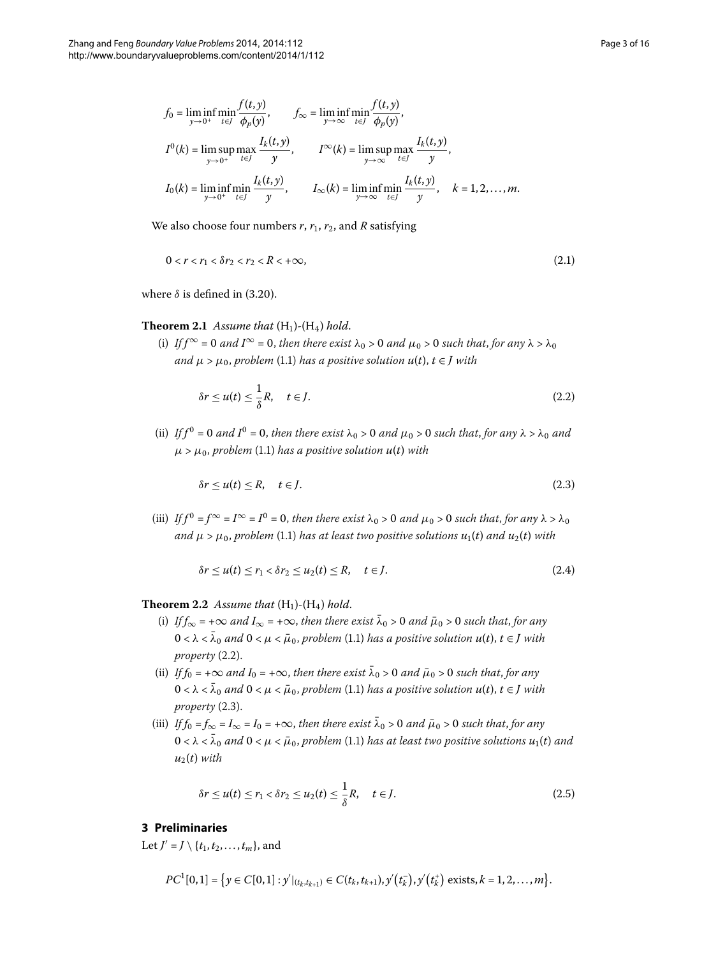<span id="page-2-4"></span>
$$
f_0 = \liminf_{y \to 0^+} \min_{t \in J} \frac{f(t, y)}{\phi_p(y)}, \qquad f_\infty = \liminf_{y \to \infty} \min_{t \in J} \frac{f(t, y)}{\phi_p(y)},
$$
  

$$
I^0(k) = \limsup_{y \to 0^+} \max_{t \in J} \frac{I_k(t, y)}{y}, \qquad I^\infty(k) = \limsup_{y \to \infty} \max_{t \in J} \frac{I_k(t, y)}{y},
$$
  

$$
I_0(k) = \liminf_{y \to 0^+} \min_{t \in J} \frac{I_k(t, y)}{y}, \qquad I_\infty(k) = \liminf_{y \to \infty} \min_{t \in J} \frac{I_k(t, y)}{y}, \qquad k = 1, 2, ..., m.
$$

<span id="page-2-3"></span>We also choose four numbers  $r$ ,  $r_1$ ,  $r_2$ , and  $R$  satisfying

$$
0 < r < r_1 < \delta r_2 < r_2 < R < +\infty,\tag{2.1}
$$

where  $\delta$  is defined in (3[.](#page-5-1)20).

## **Theorem 2.1** Assume that  $(H_1)$ - $(H_4)$  hold.

(i) *If*  $f^{\infty} = 0$  and  $I^{\infty} = 0$ , then there exist  $\lambda_0 > 0$  and  $\mu_0 > 0$  such that, for any  $\lambda > \lambda_0$ *and*  $\mu > \mu_0$ , *problem* (1.1) *has a positive solution*  $u(t)$ ,  $t \in J$  *with* 

<span id="page-2-2"></span><span id="page-2-1"></span>
$$
\delta r \le u(t) \le \frac{1}{\delta}R, \quad t \in J. \tag{2.2}
$$

(ii) *If*  $f^0 = 0$  and  $I^0 = 0$ , then there exist  $\lambda_0 > 0$  and  $\mu_0 > 0$  such that, for any  $\lambda > \lambda_0$  and  $\mu > \mu_0$ , *problem* (1.1) *has a positive solution*  $u(t)$  *with* 

<span id="page-2-5"></span>
$$
\delta r \le u(t) \le R, \quad t \in J. \tag{2.3}
$$

<span id="page-2-6"></span>(iii) *If*  $f^0 = f^\infty = I^\infty = I^0 = 0$ , then there exist  $\lambda_0 > 0$  and  $\mu_0 > 0$  such that, for any  $\lambda > \lambda_0$ *and*  $\mu > \mu_0$ , *problem* (1.1) *has at least two positive solutions*  $u_1(t)$  *and*  $u_2(t)$  *with* 

$$
\delta r \le u(t) \le r_1 < \delta r_2 \le u_2(t) \le R, \quad t \in J. \tag{2.4}
$$

## **Theorem 2.2** Assume that  $(H_1)$ - $(H_4)$  hold.

- (i) *If*  $f_{\infty} = +\infty$  *and*  $I_{\infty} = +\infty$ , *then there exist*  $\bar{\lambda}_0 > 0$  *and*  $\bar{\mu}_0 > 0$  *such that, for any*  $0 < \lambda < \overline{\lambda}_0$  and  $0 < \mu < \overline{\mu}_0$ , problem (1.1) has a positive solution  $u(t)$ ,  $t \in J$  with  $property (2.2).$
- (ii) *If*  $f_0 = +\infty$  *and*  $I_0 = +\infty$ , *then there exist*  $\overline{\lambda}_0 > 0$  *and*  $\overline{\mu}_0 > 0$  *such that, for any*  $0 < \lambda < \overline{\lambda}_0$  and  $0 < \mu < \overline{\mu}_0$ , problem (1.1) has a positive solution  $u(t)$ ,  $t \in J$  with  $property (2.3).$
- <span id="page-2-0"></span>(iii) *If*  $f_0 = f_\infty = I_\infty = I_0 = +\infty$ , then there exist  $\bar{\lambda}_0 > 0$  and  $\bar{\mu}_0 > 0$  such that, for any  $0 < \lambda < \overline{\lambda}_0$  and  $0 < \mu < \overline{\mu}_0$ , problem (1.1) has at least two positive solutions  $u_1(t)$  and  $u_2(t)$  *with*

<span id="page-2-7"></span>
$$
\delta r \le u(t) \le r_1 < \delta r_2 \le u_2(t) \le \frac{1}{\delta} R, \quad t \in J. \tag{2.5}
$$

# **3 Preliminaries**

Let  $J' = J \setminus \{t_1, t_2, \ldots, t_m\}$ , and

$$
PC^{1}[0,1] = \left\{y \in C[0,1]: y'|_{(t_k,t_{k+1})} \in C(t_k,t_{k+1}), y'(t_k^-), y'(t_k^+)\text{ exists}, k=1,2,\ldots,m\right\}.
$$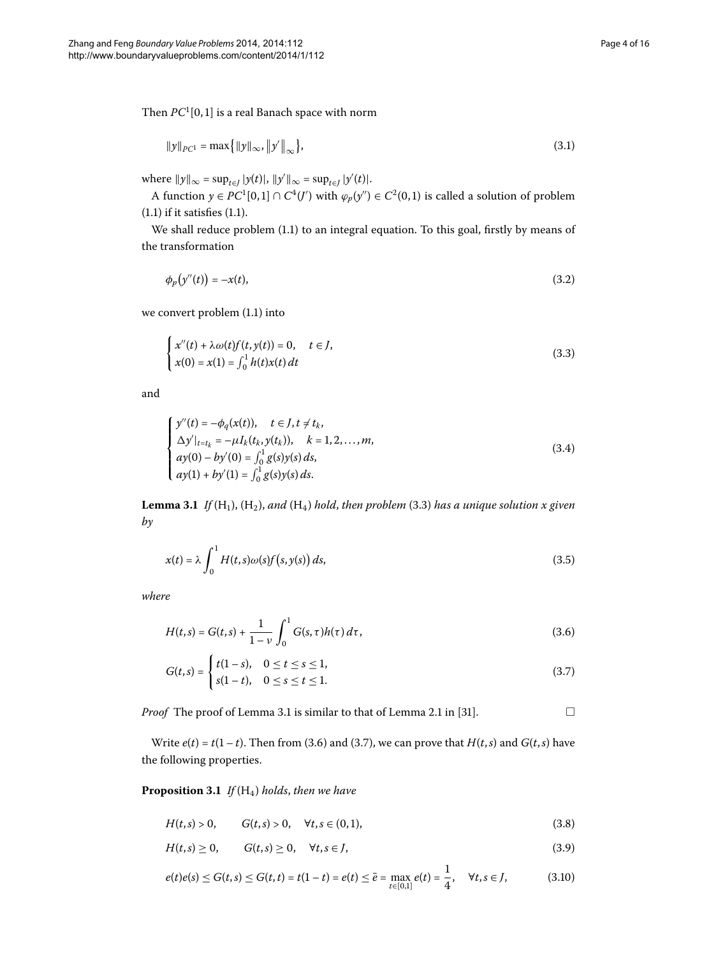Then  $PC^1[0,1]$  is a real Banach space with norm

$$
\|y\|_{PC^1} = \max\{\|y\|_{\infty}, \|y'\|_{\infty}\},\tag{3.1}
$$

 $w$ here  $||y||_{\infty} = \sup_{t \in J} |y(t)|$ ,  $||y'||_{\infty} = \sup_{t \in J} |y'(t)|$ .

A function  $y \in PC^1[0,1] \cap C^4(\mathcal{J}')$  with  $\varphi_p(y'') \in C^2(0,1)$  is called a solution of problem  $(1.1)$  $(1.1)$  $(1.1)$  if it satisfies  $(1.1)$ .

We shall reduce problem (1.1) to an integral equation. To this goal, firstly by means of the transformation

<span id="page-3-0"></span>
$$
\phi_p(y''(t)) = -x(t),\tag{3.2}
$$

we convert problem  $(1.1)$  into

<span id="page-3-4"></span>
$$
\begin{cases}\n x''(t) + \lambda \omega(t) f(t, y(t)) = 0, & t \in J, \\
 x(0) = x(1) = \int_0^1 h(t) x(t) dt\n\end{cases}
$$
\n(3.3)

<span id="page-3-1"></span>and

$$
\begin{cases}\ny''(t) = -\phi_q(x(t)), & t \in J, t \neq t_k, \\
\Delta y'|_{t=t_k} = -\mu I_k(t_k, y(t_k)), & k = 1, 2, ..., m, \\
a y(0) - b y'(0) = \int_0^1 g(s) y(s) ds, \\
a y(1) + b y'(1) = \int_0^1 g(s) y(s) ds.\n\end{cases}
$$
\n(3.4)

**Lemma 3.1** *If*  $(H_1)$ ,  $(H_2)$ , *and*  $(H_4)$  *hold*, *then problem* (3.3) *has a unique solution x given by*

<span id="page-3-3"></span><span id="page-3-2"></span>
$$
x(t) = \lambda \int_0^1 H(t, s) \omega(s) f(s, y(s)) ds,
$$
\n(3.5)

*where*

$$
H(t,s) = G(t,s) + \frac{1}{1-\nu} \int_0^1 G(s,\tau)h(\tau) d\tau,
$$
\n(3.6)

$$
G(t,s) = \begin{cases} t(1-s), & 0 \le t \le s \le 1, \\ s(1-t), & 0 \le s \le t \le 1. \end{cases}
$$
 (3.7)

*Proof* The proof of Lemma 3[.](#page-3-1)1 is similar to that of Lemma 2.1 in [31[\]](#page-15-2).  $\Box$ 

Write  $e(t) = t(1-t)$ [.](#page-3-2) Then from (3.6) and (3.7), we can prove that  $H(t, s)$  and  $G(t, s)$  have the following properties.

**Proposition 3.1** *If*  $(H_4)$  *holds, then we have* 

$$
H(t,s) > 0, \t G(t,s) > 0, \quad \forall t, s \in (0,1), \t (3.8)
$$

$$
H(t,s) \geq 0, \qquad G(t,s) \geq 0, \quad \forall t,s \in J,
$$
\n
$$
(3.9)
$$

$$
e(t)e(s) \le G(t,s) \le G(t,t) = t(1-t) = e(t) \le \bar{e} = \max_{t \in [0,1]} e(t) = \frac{1}{4}, \quad \forall t, s \in J,
$$
 (3.10)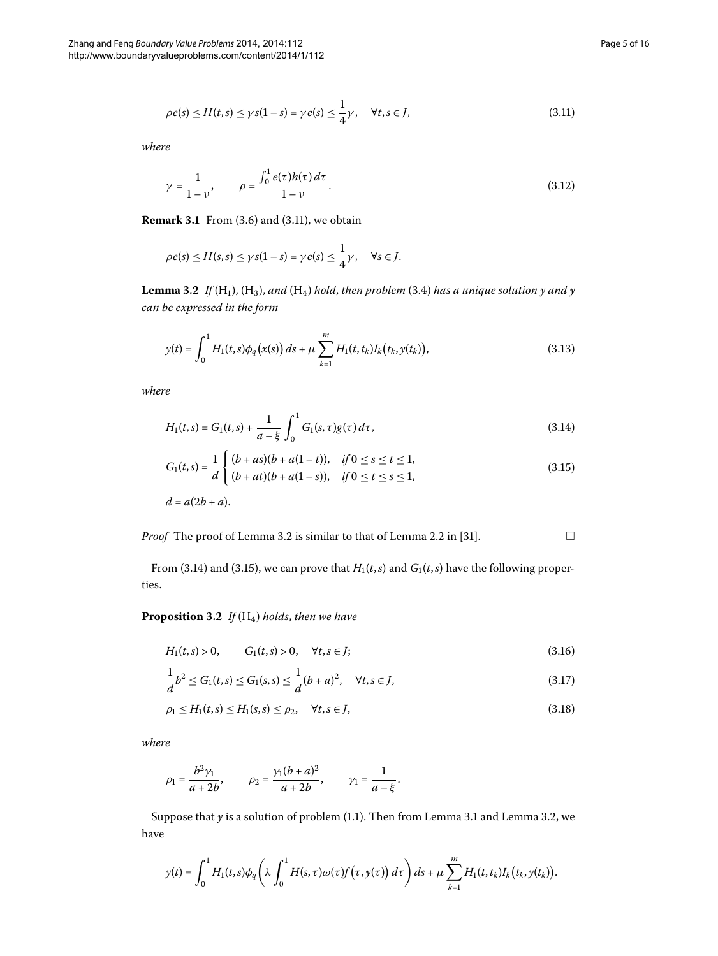<span id="page-4-0"></span>
$$
\rho e(s) \le H(t,s) \le \gamma s(1-s) = \gamma e(s) \le \frac{1}{4}\gamma, \quad \forall t, s \in J,
$$
\n(3.11)

<span id="page-4-1"></span>*where*

$$
\gamma = \frac{1}{1 - \nu}, \qquad \rho = \frac{\int_0^1 e(\tau)h(\tau) \, d\tau}{1 - \nu}.
$$
\n(3.12)

**Remark 3.1** From (3.6) and (3.11), we obtain

$$
\rho e(s) \leq H(s,s) \leq \gamma s(1-s) = \gamma e(s) \leq \frac{1}{4}\gamma, \quad \forall s \in J.
$$

**Lemma 3.2** If  $(H_1)$ ,  $(H_3)$ , and  $(H_4)$  hold, then problem (3.4) has a unique solution y and y *can be expressed in the form*

<span id="page-4-3"></span><span id="page-4-2"></span>
$$
y(t) = \int_0^1 H_1(t,s)\phi_q(x(s))\,ds + \mu \sum_{k=1}^m H_1(t,t_k)I_k(t_k,y(t_k)),\tag{3.13}
$$

*where*

$$
H_1(t,s) = G_1(t,s) + \frac{1}{a-\xi} \int_0^1 G_1(s,\tau)g(\tau) d\tau,
$$
\n(3.14)

$$
G_1(t,s) = \frac{1}{d} \begin{cases} (b+as)(b+a(1-t)), & \text{if } 0 \le s \le t \le 1, \\ (b+at)(b+a(1-s)), & \text{if } 0 \le t \le s \le 1, \end{cases} \tag{3.15}
$$

$$
d = a(2b + a).
$$

*Proof* The proof of Lemma 3[.](#page-4-1)2 is similar to that of Lemma 2.2 in [31[\]](#page-15-2).  $\Box$ 

From (3[.](#page-4-2)14) and (3.15), we can prove that  $H_1(t, s)$  and  $G_1(t, s)$  have the following properties.

**Proposition 3.2** If  $(H_4)$  holds, then we have

$$
H_1(t,s) > 0, \t G_1(t,s) > 0, \quad \forall t, s \in J;
$$
\n(3.16)

$$
\frac{1}{d}b^2 \le G_1(t,s) \le G_1(s,s) \le \frac{1}{d}(b+a)^2, \quad \forall t,s \in J,
$$
\n(3.17)

$$
\rho_1 \le H_1(t,s) \le H_1(s,s) \le \rho_2, \quad \forall t,s \in J,
$$
\n(3.18)

*where*

$$
\rho_1 = \frac{b^2 \gamma_1}{a + 2b}
$$
,  $\rho_2 = \frac{\gamma_1 (b + a)^2}{a + 2b}$ ,  $\gamma_1 = \frac{1}{a - \xi}$ .

Suppose that *y* is a solution of problem (1[.](#page-4-1)1). Then from Lemma 3.1 and Lemma 3.2, we have

$$
y(t)=\int_0^1 H_1(t,s)\phi_q\bigg(\lambda\int_0^1 H(s,\tau)\omega(\tau)f\big(\tau,y(\tau)\big)\,d\tau\bigg)\,ds+\mu\sum_{k=1}^m H_1(t,t_k)I_k\big(t_k,y(t_k)\big).
$$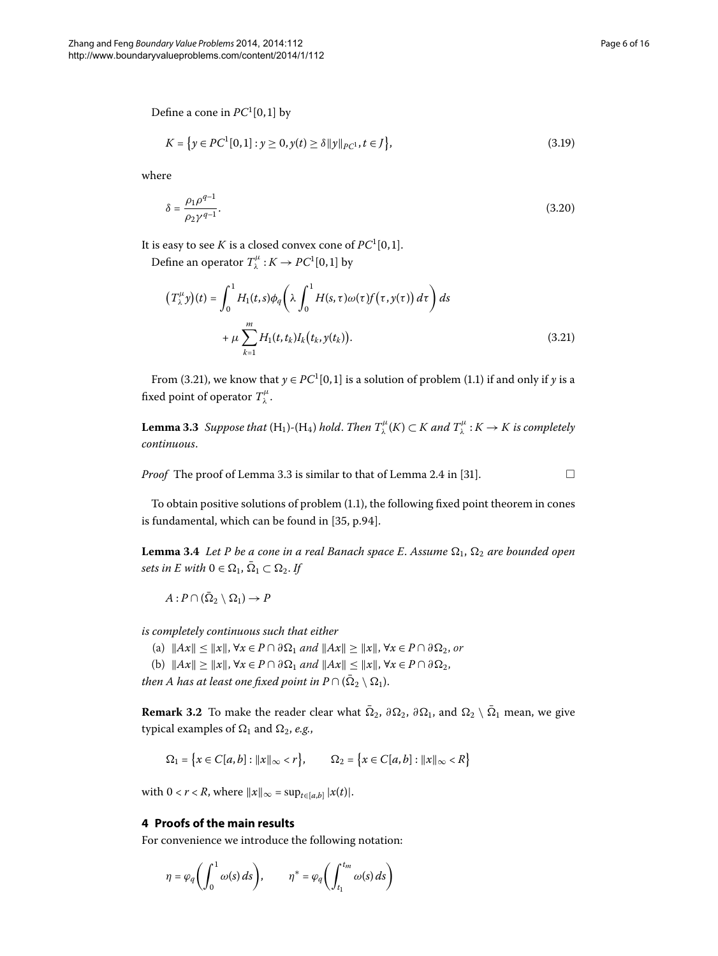Define a cone in  $PC^1[0,1]$  by

<span id="page-5-1"></span>
$$
K = \{ y \in PC^1[0,1] : y \ge 0, y(t) \ge \delta \|y\|_{PC^1}, t \in J \},
$$
\n(3.19)

where

<span id="page-5-2"></span>
$$
\delta = \frac{\rho_1 \rho^{q-1}}{\rho_2 \gamma^{q-1}}.\tag{3.20}
$$

It is easy to see  $K$  is a closed convex cone of  $PC^1[0,1].$ 

Define an operator  $T^{\mu}_{\lambda}: K \to PC^1[0,1]$  by

<span id="page-5-3"></span>
$$
(T_{\lambda}^{\mu}y)(t) = \int_0^1 H_1(t,s)\phi_q\left(\lambda \int_0^1 H(s,\tau)\omega(\tau)f(\tau,y(\tau))\,d\tau\right)ds
$$

$$
+\mu \sum_{k=1}^m H_1(t,t_k)I_k(t_k,y(t_k)).
$$
(3.21)

From (3.21), we know that  $y \in PC^1[0,1]$  is a solution of problem (1.1) if and only if *y* is a fixed point of operator  $T^{\mu}_{\lambda}$ .

<span id="page-5-4"></span>**Lemma 3.3** Suppose that  $(H_1)$ - $(H_4)$  hold. Then  $T_\lambda^\mu(K) \subset K$  and  $T_\lambda^\mu: K \to K$  is completely *continuous*.

*Proof* The proof of Lemma 3[.](#page-5-3)3 is similar to that of Lemma 2.4 in [31[\]](#page-15-2).  $\Box$ 

To obtain positive solutions of problem  $(1.1)$  $(1.1)$  $(1.1)$ , the following fixed point theorem in cones is fundamental, which can be found in  $[35, p.94]$  $[35, p.94]$ .

**Lemma 3.4** Let P be a cone in a real Banach space E. Assume  $\Omega_1$ ,  $\Omega_2$  are bounded open *sets in E with*  $0 \in \Omega_1$ ,  $\overline{\Omega}_1 \subset \Omega_2$ . If

 $A: P \cap (\overline{\Omega}_2 \setminus \Omega_1) \to P$ 

*is completely continuous such that either*

(a)  $||Ax|| \le ||x||$ ,  $\forall x \in P \cap \partial \Omega_1$  and  $||Ax|| \ge ||x||$ ,  $\forall x \in P \cap \partial \Omega_2$ , or

(b)  $||Ax|| \ge ||x||$ ,  $\forall x \in P \cap \partial \Omega_1$  and  $||Ax|| \le ||x||$ ,  $\forall x \in P \cap \partial \Omega_2$ ,

*then A has at least one fixed point in*  $P \cap (\overline{Q}_2 \setminus \Omega_1)$ .

<span id="page-5-0"></span>**Remark 3.2** To make the reader clear what  $\bar{\Omega}_2$ ,  $\partial \Omega_2$ ,  $\partial \Omega_1$ , and  $\Omega_2 \setminus \bar{\Omega}_1$  mean, we give typical examples of  $\Omega_1$  and  $\Omega_2$ , *e.g.*,

$$
\Omega_1 = \{x \in C[a, b] : ||x||_{\infty} < r\}, \qquad \Omega_2 = \{x \in C[a, b] : ||x||_{\infty} < R\}
$$

with  $0 < r < R$ , where  $||x||_{\infty} = \sup_{t \in [a,b]} |x(t)|$ .

## **4 Proofs of the main results**

For convenience we introduce the following notation:

$$
\eta = \varphi_q \bigg( \int_0^1 \omega(s) \, ds \bigg), \qquad \eta^* = \varphi_q \bigg( \int_{t_1}^{t_m} \omega(s) \, ds \bigg)
$$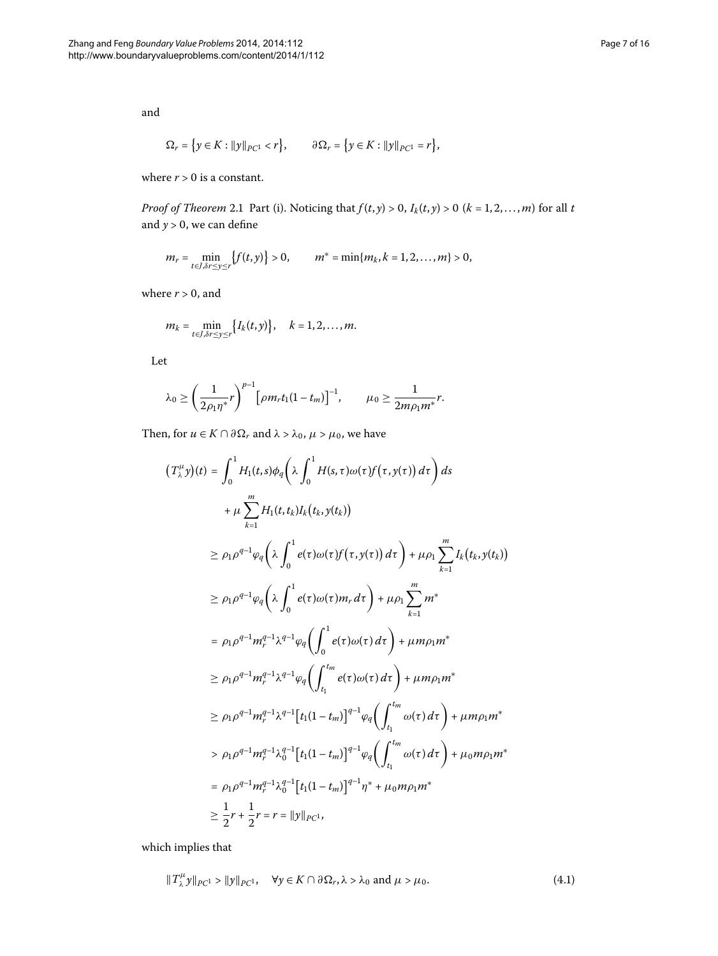and

$$
\Omega_r = \left\{ y \in K : ||y||_{PC^1} < r \right\}, \qquad \partial \Omega_r = \left\{ y \in K : ||y||_{PC^1} = r \right\},\
$$

where  $r > 0$  is a constant.

*Proof of Theorem* 2[.](#page-2-3)1 Part (i). Noticing that  $f(t, y) > 0$ ,  $I_k(t, y) > 0$  ( $k = 1, 2, ..., m$ ) for all *t* and  $y > 0$ , we can define

$$
m_r = \min_{t \in J, \delta r \leq y \leq r} \{f(t, y)\} > 0, \qquad m^* = \min\{m_k, k = 1, 2, \dots, m\} > 0,
$$

where  $r > 0$ , and

$$
m_k=\min_{t\in J,\delta r\leq y\leq r}\big\{I_k(t,y)\big\},\quad k=1,2,\ldots,m.
$$

Let

$$
\lambda_0 \ge \left(\frac{1}{2\rho_1\eta^*}r\right)^{p-1} \left[\rho m_r t_1(1-t_m)\right]^{-1}, \qquad \mu_0 \ge \frac{1}{2m\rho_1 m^*}r.
$$

Then, for  $u \in K \cap \partial \Omega_r$  and  $\lambda > \lambda_0$ ,  $\mu > \mu_0$ , we have

$$
(T_{\lambda}^{\mu} y)(t) = \int_{0}^{1} H_{1}(t,s)\phi_{q}\left(\lambda \int_{0}^{1} H(s,\tau)\omega(\tau)f(\tau,y(\tau)) d\tau\right) ds + \mu \sum_{k=1}^{m} H_{1}(t,t_{k})I_{k}(t_{k},y(t_{k})) \geq \rho_{1}\rho^{q-1}\phi_{q}\left(\lambda \int_{0}^{1} e(\tau)\omega(\tau)f(\tau,y(\tau)) d\tau\right) + \mu \rho_{1} \sum_{k=1}^{m} I_{k}(t_{k},y(t_{k})) \geq \rho_{1}\rho^{q-1}\phi_{q}\left(\lambda \int_{0}^{1} e(\tau)\omega(\tau)m_{r} d\tau\right) + \mu \rho_{1} \sum_{k=1}^{m} m^{*} = \rho_{1}\rho^{q-1}m_{r}^{q-1}\lambda^{q-1}\phi_{q}\left(\int_{0}^{1} e(\tau)\omega(\tau) d\tau\right) + \mu m \rho_{1}m^{*} \geq \rho_{1}\rho^{q-1}m_{r}^{q-1}\lambda^{q-1}\phi_{q}\left(\int_{t_{1}}^{t_{m}} e(\tau)\omega(\tau) d\tau\right) + \mu m \rho_{1}m^{*} \geq \rho_{1}\rho^{q-1}m_{r}^{q-1}\lambda^{q-1}\left[t_{1}(1-t_{m})\right]^{q-1}\phi_{q}\left(\int_{t_{1}}^{t_{m}} \omega(\tau) d\tau\right) + \mu m \rho_{1}m^{*} > \rho_{1}\rho^{q-1}m_{r}^{q-1}\lambda_{0}^{q-1}\left[t_{1}(1-t_{m})\right]^{q-1}\phi_{q}\left(\int_{t_{1}}^{t_{m}} \omega(\tau) d\tau\right) + \mu_{0}m \rho_{1}m^{*} = \rho_{1}\rho^{q-1}m_{r}^{q-1}\lambda_{0}^{q-1}\left[t_{1}(1-t_{m})\right]^{q-1}\eta^{*} + \mu_{0}m \rho_{1}m^{*} \geq \frac{1}{2}r + \frac{1}{2}r = r = ||y||_{PC^{1}},
$$

which implies that

<span id="page-6-0"></span>
$$
||T^{\mu}_{\lambda} y||_{PC^1} > ||y||_{PC^1}, \quad \forall y \in K \cap \partial \Omega_r, \lambda > \lambda_0 \text{ and } \mu > \mu_0.
$$
 (4.1)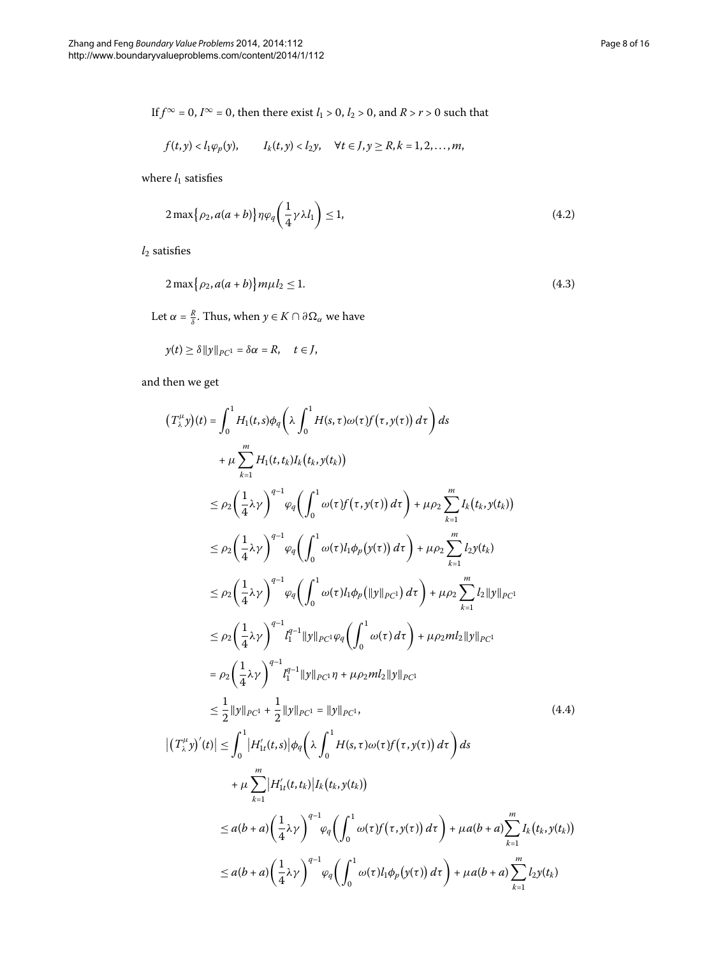If  $f^{\infty} = 0$ ,  $I^{\infty} = 0$ , then there exist  $l_1 > 0$ ,  $l_2 > 0$ , and  $R > r > 0$  such that

<span id="page-7-1"></span>
$$
f(t,y) < l_1\varphi_p(y), \qquad l_k(t,y) < l_2y, \quad \forall t \in J, y \geq R, k = 1,2,\ldots,m,
$$

where  $l_1$  satisfies

<span id="page-7-2"></span>
$$
2\max\{\rho_2, a(a+b)\}\eta\varphi_q\left(\frac{1}{4}\gamma\lambda l_1\right) \le 1,\tag{4.2}
$$

 $l_2$  satisfies

$$
2\max\{\rho_2, a(a+b)\}m\mu_2 \le 1. \tag{4.3}
$$

Let  $\alpha = \frac{R}{\delta}$ . Thus, when  $y \in K \cap \partial \Omega_{\alpha}$  we have

$$
y(t) \ge \delta ||y||_{PC^1} = \delta \alpha = R, \quad t \in J,
$$

and then we get

<span id="page-7-0"></span>
$$
(T_{\lambda}^{\mu}y)(t) = \int_{0}^{1} H_{1}(t,s)\phi_{q}\left(\lambda \int_{0}^{1} H(s,\tau)\omega(\tau)f(\tau,y(\tau)) d\tau\right) ds + \mu \sum_{k=1}^{m} H_{1}(t,t_{k})I_{k}(t_{k},y(t_{k})) \n\leq \rho_{2}\left(\frac{1}{4}\lambda\gamma\right)^{q-1}\varphi_{q}\left(\int_{0}^{1} \omega(\tau)f(\tau,y(\tau)) d\tau\right) + \mu \rho_{2} \sum_{k=1}^{m} I_{k}(t_{k},y(t_{k})) \n\leq \rho_{2}\left(\frac{1}{4}\lambda\gamma\right)^{q-1}\varphi_{q}\left(\int_{0}^{1} \omega(\tau)I_{1}\varphi_{p}(y(\tau)) d\tau\right) + \mu \rho_{2} \sum_{k=1}^{m} I_{2}y(t_{k}) \n\leq \rho_{2}\left(\frac{1}{4}\lambda\gamma\right)^{q-1}\varphi_{q}\left(\int_{0}^{1} \omega(\tau)I_{1}\varphi_{p}(|y||p_{C}t) d\tau\right) + \mu \rho_{2} \sum_{k=1}^{m} I_{2}|y||p_{C}t_{k}
$$
\n
$$
\leq \rho_{2}\left(\frac{1}{4}\lambda\gamma\right)^{q-1}I_{1}^{q-1}||y||p_{C}t\varphi_{q}\left(\int_{0}^{1} \omega(\tau) d\tau\right) + \mu \rho_{2}m I_{2}||y||p_{C}t_{k}
$$
\n
$$
= \rho_{2}\left(\frac{1}{4}\lambda\gamma\right)^{q-1}I_{1}^{q-1}||y||p_{C}t\varphi_{q}\left(\int_{0}^{1} \omega(\tau) d\tau\right) + \mu \rho_{2}m I_{2}||y||p_{C}t_{k}
$$
\n
$$
\leq \frac{1}{2}||y||p_{C}t + \frac{1}{2}||y||p_{C}t_{k} = ||y||p_{C}t, \qquad (4.4)
$$
\n
$$
|(T_{\lambda}^{\mu}y)'(t)| \leq \int_{0}^{1} |H'_{1}(t,s)|\phi_{q}\left(\lambda \int_{0}^{1} H(s,\tau)\omega(\tau)f(\tau,y(\tau)) d\tau\right) ds + \mu \sum_{k=1}^{m}
$$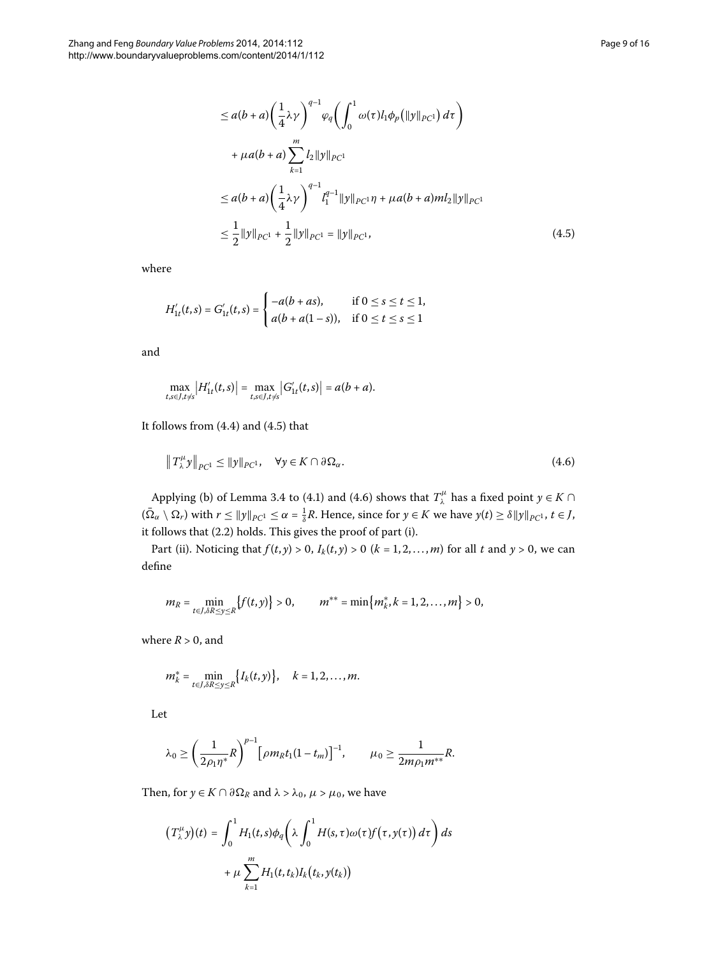<span id="page-8-0"></span>
$$
\leq a(b+a)\left(\frac{1}{4}\lambda\gamma\right)^{q-1}\varphi_q\left(\int_0^1 \omega(\tau)l_1\phi_p\left(\|y\|_{PC^1}\right)d\tau\right) + \mu a(b+a)\sum_{k=1}^m l_2\|y\|_{PC^1} \leq a(b+a)\left(\frac{1}{4}\lambda\gamma\right)^{q-1}l_1^{q-1}\|y\|_{PC^1}\eta + \mu a(b+a)ml_2\|y\|_{PC^1} \leq \frac{1}{2}\|y\|_{PC^1} + \frac{1}{2}\|y\|_{PC^1} = \|y\|_{PC^1},
$$
\n(4.5)

where

$$
H'_{1t}(t,s) = G'_{1t}(t,s) = \begin{cases} -a(b+as), & \text{if } 0 \le s \le t \le 1, \\ a(b+a(1-s)), & \text{if } 0 \le t \le s \le 1 \end{cases}
$$

and

<span id="page-8-1"></span>
$$
\max_{t,s\in J, t\neq s} |H'_{1t}(t,s)| = \max_{t,s\in J, t\neq s} |G'_{1t}(t,s)| = a(b+a).
$$

It follows from  $(4.4)$  $(4.4)$  $(4.4)$  and  $(4.5)$  that

$$
\|T_{\lambda}^{\mu}y\|_{PC^1} \le \|y\|_{PC^1}, \quad \forall y \in K \cap \partial \Omega_{\alpha}.\tag{4.6}
$$

Applying (b) of Lemma 3[.](#page-5-4)4 to (4.1) and (4.6) shows that  $T^{\mu}_{\lambda}$  has a fixed point  $y \in K \cap$  $(\bar{\Omega}_{\alpha} \setminus \Omega_r)$  with  $r \le ||y||_{PC^1} \le \alpha = \frac{1}{\delta}R$ . Hence, since for  $y \in K$  we have  $y(t) \ge \delta ||y||_{PC^1}$ ,  $t \in J$ , it follows that (2.2) holds. This gives the proof of part (i).

Part (ii). Noticing that  $f(t, y) > 0$ ,  $I_k(t, y) > 0$  ( $k = 1, 2, ..., m$ ) for all  $t$  and  $y > 0$ , we can define

$$
m_R = \min_{t \in J, \delta R \le y \le R} \{f(t, y)\} > 0, \qquad m^{**} = \min \{m_k^*, k = 1, 2, \dots, m\} > 0,
$$

where  $R > 0$ , and

$$
m_k^* = \min_{t \in J, \delta R \le y \le R} \{ I_k(t, y) \}, \quad k = 1, 2, ..., m.
$$

Let

$$
\lambda_0 \geq \left(\frac{1}{2\rho_1\eta^*}R\right)^{p-1} \left[\rho m_R t_1(1-t_m)\right]^{-1}, \qquad \mu_0 \geq \frac{1}{2m\rho_1 m^{**}}R.
$$

Then, for  $y \in K \cap \partial \Omega_R$  and  $\lambda > \lambda_0$ ,  $\mu > \mu_0$ , we have

$$
(T_{\lambda}^{\mu}y)(t) = \int_0^1 H_1(t,s)\phi_q\left(\lambda \int_0^1 H(s,\tau)\omega(\tau)f(\tau,y(\tau)) d\tau\right) ds
$$

$$
+ \mu \sum_{k=1}^m H_1(t,t_k)I_k(t_k,y(t_k))
$$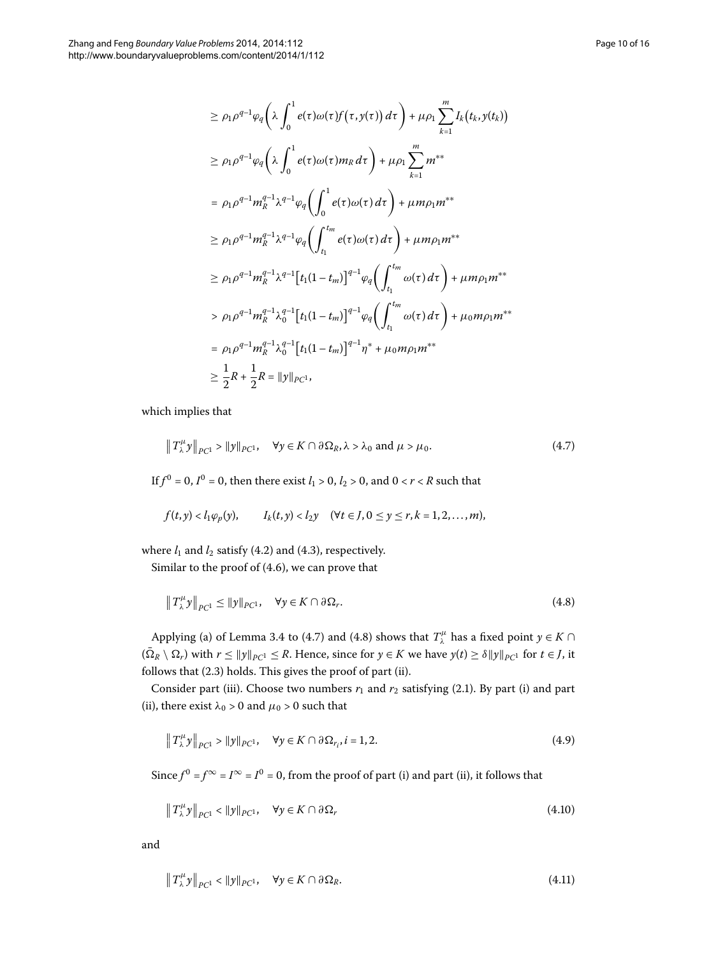$$
\geq \rho_1 \rho^{q-1} \varphi_q \left( \lambda \int_0^1 e(\tau) \omega(\tau) f(\tau, y(\tau)) d\tau \right) + \mu \rho_1 \sum_{k=1}^m I_k(t_k, y(t_k))
$$
\n
$$
\geq \rho_1 \rho^{q-1} \varphi_q \left( \lambda \int_0^1 e(\tau) \omega(\tau) m_R d\tau \right) + \mu \rho_1 \sum_{k=1}^m m^{**}
$$
\n
$$
= \rho_1 \rho^{q-1} m_R^{q-1} \lambda^{q-1} \varphi_q \left( \int_0^1 e(\tau) \omega(\tau) d\tau \right) + \mu m \rho_1 m^{**}
$$
\n
$$
\geq \rho_1 \rho^{q-1} m_R^{q-1} \lambda^{q-1} \varphi_q \left( \int_{t_1}^{t_m} e(\tau) \omega(\tau) d\tau \right) + \mu m \rho_1 m^{**}
$$
\n
$$
\geq \rho_1 \rho^{q-1} m_R^{q-1} \lambda^{q-1} [t_1(1-t_m)]^{q-1} \varphi_q \left( \int_{t_1}^{t_m} \omega(\tau) d\tau \right) + \mu m \rho_1 m^{**}
$$
\n
$$
> \rho_1 \rho^{q-1} m_R^{q-1} \lambda_0^{q-1} [t_1(1-t_m)]^{q-1} \varphi_q \left( \int_{t_1}^{t_m} \omega(\tau) d\tau \right) + \mu_0 m \rho_1 m^{**}
$$
\n
$$
= \rho_1 \rho^{q-1} m_R^{q-1} \lambda_0^{q-1} [t_1(1-t_m)]^{q-1} \eta^* + \mu_0 m \rho_1 m^{**}
$$
\n
$$
\geq \frac{1}{2} R + \frac{1}{2} R = ||y||_{PC^1},
$$

which implies that

<span id="page-9-0"></span>
$$
\|T^{\mu}_{\lambda}y\|_{PC^1} > \|y\|_{PC^1}, \quad \forall y \in K \cap \partial \Omega_R, \lambda > \lambda_0 \text{ and } \mu > \mu_0.
$$
 (4.7)

If  $f^0 = 0$ ,  $I^0 = 0$ , then there exist  $l_1 > 0$ ,  $l_2 > 0$ , and  $0 < r < R$  such that

<span id="page-9-1"></span>
$$
f(t,y) < l_1\varphi_p(y), \qquad l_k(t,y) < l_2y \quad (\forall t \in J, 0 \leq y \leq r, k = 1,2,\ldots,m),
$$

where  $l_1$  and  $l_2$  satisfy (4[.](#page-7-2)2) and (4.3), respectively.

Similar to the proof of  $(4.6)$ , we can prove that

<span id="page-9-2"></span>
$$
\|T^{\mu}_{\lambda}y\|_{PC^1} \le \|y\|_{PC^1}, \quad \forall y \in K \cap \partial \Omega_r. \tag{4.8}
$$

Applying (a) of Lemma 3[.](#page-9-0)4 to (4.7) and (4.8) shows that  $T^{\mu}_{\lambda}$  has a fixed point  $y \in K \cap$  $(\bar{\Omega}_R \setminus \Omega_r)$  with  $r \le ||y||_{PC} \le R$ . Hence, since for  $y \in K$  we have  $y(t) \ge \delta ||y||_{PC}$  for  $t \in J$ , it follows that (2.3) holds. This gives the proof of part (ii).

Consider part (iii). Choose two numbers  $r_1$  and  $r_2$  satisfying (2.1). By part (i) and part (ii), there exist  $\lambda_0 > 0$  and  $\mu_0 > 0$  such that

$$
\left\|T_{\lambda}^{\mu}y\right\|_{PC^1} > \|y\|_{PC^1}, \quad \forall y \in K \cap \partial \Omega_{r_i}, i = 1, 2. \tag{4.9}
$$

Since  $f^0 = f^\infty = I^\infty = I^0 = 0$ , from the proof of part (i) and part (ii), it follows that

<span id="page-9-3"></span>
$$
\|T^{\mu}_{\lambda}y\|_{PC^1} < \|y\|_{PC^1}, \quad \forall y \in K \cap \partial \Omega_r \tag{4.10}
$$

and

$$
\|T^{\mu}_{\lambda}y\|_{PC^1} < \|y\|_{PC^1}, \quad \forall y \in K \cap \partial \Omega_R.
$$
 (4.11)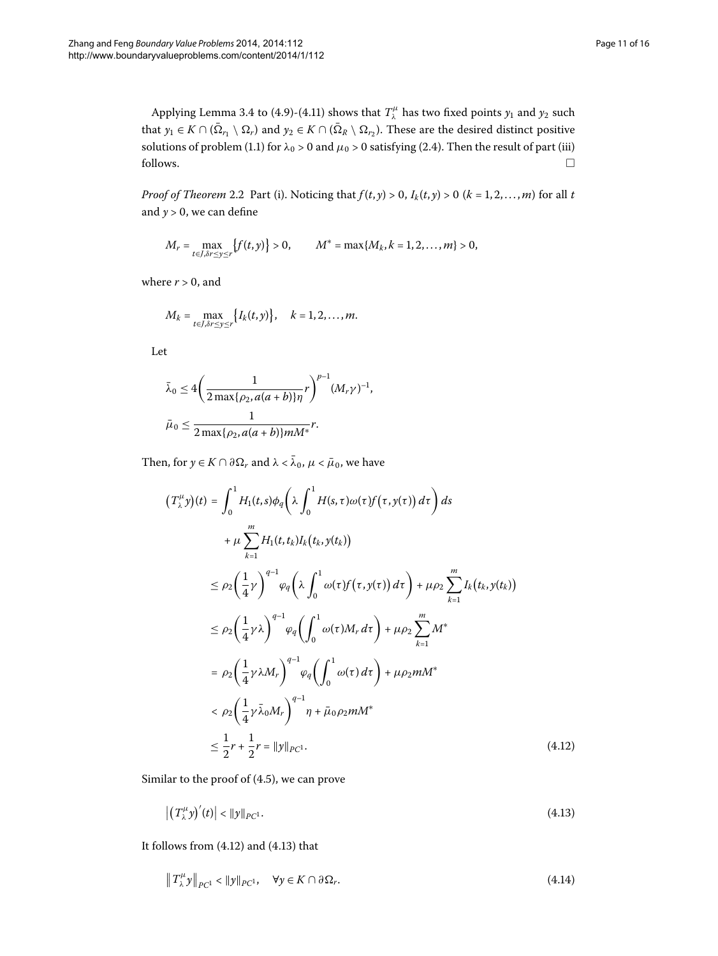Applying Lemma 3[.](#page-9-3)4 to (4.9)-(4.11) shows that  $T^{\mu}_{\lambda}$  has two fixed points  $y_1$  and  $y_2$  such that  $y_1 \in K \cap (\bar{\Omega}_{r_1} \setminus \Omega_r)$  and  $y_2 \in K \cap (\bar{\Omega}_R \setminus \Omega_{r_2})$ . These are the desired distinct positive solutions of problem (1[.](#page-2-5)1) for  $\lambda_0 > 0$  and  $\mu_0 > 0$  satisfying (2.4). Then the result of part (iii)  $\Box$  follows.  $\Box$ 

*Proof of Theorem* 2[.](#page-2-6)2 Part (i). Noticing that  $f(t, y) > 0$ ,  $I_k(t, y) > 0$  ( $k = 1, 2, ..., m$ ) for all *t* and  $y > 0$ , we can define

$$
M_r = \max_{t \in J, \delta r \leq y \leq r} \{f(t, y)\} > 0, \qquad M^* = \max\{M_k, k = 1, 2, \dots, m\} > 0,
$$

where  $r > 0$ , and

$$
M_k = \max_{t \in J, \delta r \leq y \leq r} \{I_k(t, y)\}, \quad k = 1, 2, \ldots, m.
$$

Let

$$
\bar{\lambda}_0 \le 4 \bigg( \frac{1}{2 \max\{\rho_2, a(a+b)\}\eta} r \bigg)^{p-1} (M_r \gamma)^{-1},
$$
  

$$
\bar{\mu}_0 \le \frac{1}{2 \max\{\rho_2, a(a+b)\}\eta M^*} r.
$$

Then, for  $y \in K \cap \partial \Omega_r$  and  $\lambda < \bar{\lambda}_0$ ,  $\mu < \bar{\mu}_0$ , we have

<span id="page-10-0"></span>
$$
(T_{\lambda}^{\mu}y)(t) = \int_{0}^{1} H_{1}(t,s)\phi_{q}\left(\lambda \int_{0}^{1} H(s,\tau)\omega(\tau)f(\tau,y(\tau)) d\tau\right) ds
$$
  
+  $\mu \sum_{k=1}^{m} H_{1}(t,t_{k})I_{k}(t_{k},y(t_{k}))$   

$$
\leq \rho_{2}\left(\frac{1}{4}\gamma\right)^{q-1} \varphi_{q}\left(\lambda \int_{0}^{1} \omega(\tau)f(\tau,y(\tau)) d\tau\right) + \mu \rho_{2} \sum_{k=1}^{m} I_{k}(t_{k},y(t_{k}))
$$
  

$$
\leq \rho_{2}\left(\frac{1}{4}\gamma\lambda\right)^{q-1} \varphi_{q}\left(\int_{0}^{1} \omega(\tau)M_{r} d\tau\right) + \mu \rho_{2} \sum_{k=1}^{m} M^{*}
$$
  

$$
= \rho_{2}\left(\frac{1}{4}\gamma\lambda M_{r}\right)^{q-1} \varphi_{q}\left(\int_{0}^{1} \omega(\tau) d\tau\right) + \mu \rho_{2} mM^{*}
$$
  

$$
< \rho_{2}\left(\frac{1}{4}\gamma\bar{\lambda}_{0}M_{r}\right)^{q-1} \eta + \bar{\mu}_{0}\rho_{2} mM^{*}
$$
  

$$
\leq \frac{1}{2}r + \frac{1}{2}r = ||y||_{PC^{1}}.
$$
 (4.12)

Similar to the proof of  $(4.5)$ , we can prove

<span id="page-10-2"></span><span id="page-10-1"></span> $\left| \left( T_{\lambda}^{\mu} y \right)'(t) \right|$  $\vert \langle \Vert y \Vert_{PC^1}.$  (4.13)

It follows from  $(4.12)$  and  $(4.13)$  that

$$
\|T^{\mu}_{\lambda}y\|_{PC^1} < \|y\|_{PC^1}, \quad \forall y \in K \cap \partial \Omega_r. \tag{4.14}
$$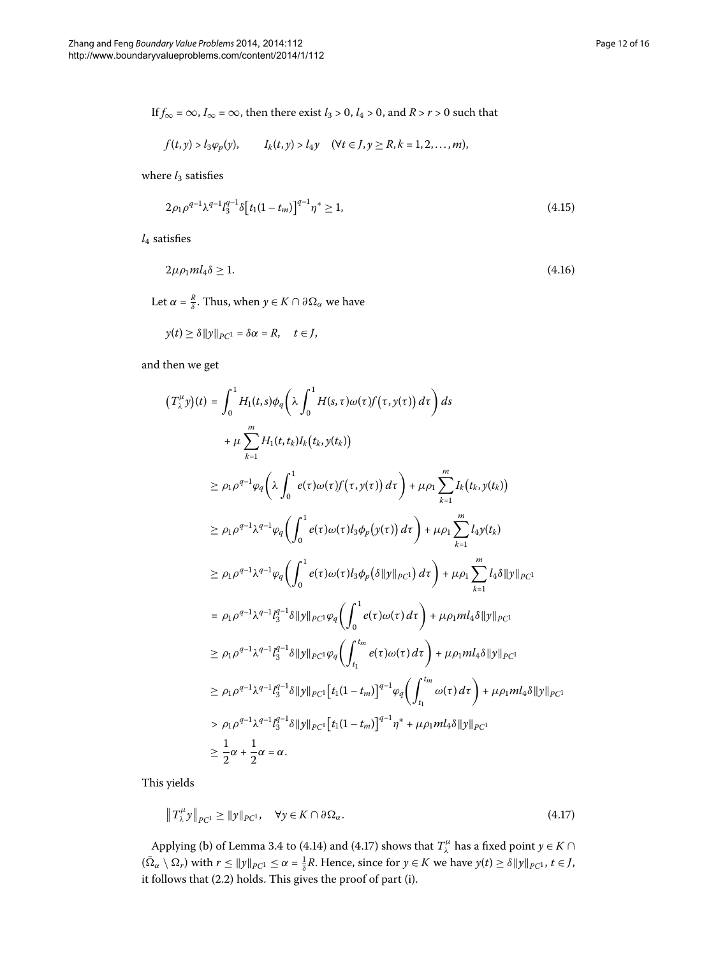If  $f_{\infty} = \infty$ ,  $I_{\infty} = \infty$ , then there exist  $l_3 > 0$ ,  $l_4 > 0$ , and  $R > r > 0$  such that

<span id="page-11-2"></span><span id="page-11-1"></span>
$$
f(t,y) > l_3\varphi_p(y), \qquad I_k(t,y) > l_4y \quad (\forall t \in J, y \ge R, k = 1,2,\ldots,m),
$$

where  $l_3$  satisfies

$$
2\rho_1 \rho^{q-1} \lambda^{q-1} l_3^{q-1} \delta \left[ t_1 (1 - t_m) \right]^{q-1} \eta^* \ge 1, \tag{4.15}
$$

 $l_4$  satisfies

$$
2\mu \rho_1 m l_4 \delta \ge 1. \tag{4.16}
$$

Let  $\alpha = \frac{R}{\delta}$ . Thus, when  $y \in K \cap \partial \Omega_{\alpha}$  we have

$$
y(t) \geq \delta ||y||_{PC^1} = \delta \alpha = R, \quad t \in J,
$$

and then we get

$$
(T_{\lambda}^{\mu}y)(t) = \int_{0}^{1} H_{1}(t,s)\phi_{q}\left(\lambda \int_{0}^{1} H(s,\tau)\omega(\tau)f(\tau,y(\tau)) d\tau\right) ds
$$
  
+  $\mu \sum_{k=1}^{m} H_{1}(t,t_{k})I_{k}(t_{k},y(t_{k}))$   

$$
\geq \rho_{1}\rho^{q-1}\phi_{q}\left(\lambda \int_{0}^{1} e(\tau)\omega(\tau)f(\tau,y(\tau)) d\tau\right) + \mu \rho_{1} \sum_{k=1}^{m} I_{k}(t_{k},y(t_{k}))
$$
  

$$
\geq \rho_{1}\rho^{q-1}\lambda^{q-1}\phi_{q}\left(\int_{0}^{1} e(\tau)\omega(\tau)I_{3}\phi_{p}(y(\tau)) d\tau\right) + \mu \rho_{1} \sum_{k=1}^{m} I_{4}y(t_{k})
$$
  

$$
\geq \rho_{1}\rho^{q-1}\lambda^{q-1}\phi_{q}\left(\int_{0}^{1} e(\tau)\omega(\tau)I_{3}\phi_{p}(\delta\|y\|_{PC}) d\tau\right) + \mu \rho_{1} \sum_{k=1}^{m} I_{4}\delta\|y\|_{PC1}
$$
  
=  $\rho_{1}\rho^{q-1}\lambda^{q-1}I_{3}^{q-1}\delta\|y\|_{PC1}\phi_{q}\left(\int_{0}^{1} e(\tau)\omega(\tau) d\tau\right) + \mu \rho_{1}mI_{4}\delta\|y\|_{PC1}$   

$$
\geq \rho_{1}\rho^{q-1}\lambda^{q-1}I_{3}^{q-1}\delta\|y\|_{PC1}\phi_{q}\left(\int_{t_{1}}^{t_{m}} e(\tau)\omega(\tau) d\tau\right) + \mu \rho_{1}mI_{4}\delta\|y\|_{PC1}
$$
  

$$
\geq \rho_{1}\rho^{q-1}\lambda^{q-1}I_{3}^{q-1}\delta\|y\|_{PC1}[t_{1}(1-t_{m})]^{q-1}\phi_{q}\left(\int_{t_{1}}^{t_{m}} \omega(\tau) d\tau\right) + \mu \rho_{1}mI_{4}\delta\|y\|_{PC1}
$$
  

$$
> \rho_{1}\rho^{q-1}\lambda^{q-1}I_{3}^{q-1}\delta\|y\|_{PC1}[t_{1}(1-t_{m})]
$$

This yields

<span id="page-11-0"></span>
$$
\|T_{\lambda}^{\mu}y\|_{PC^1} \ge \|y\|_{PC^1}, \quad \forall y \in K \cap \partial \Omega_{\alpha}.\tag{4.17}
$$

Applying (b) of Lemma 3[.](#page-5-4)4 to (4.14) and (4.17) shows that  $T^{\mu}_{\lambda}$  has a fixed point  $y \in K \cap$  $(\bar{\Omega}_{\alpha} \setminus \Omega_r)$  with  $r \le ||y||_{PC^1} \le \alpha = \frac{1}{\delta}R$ . Hence, since for  $y \in K$  we have  $y(t) \ge \delta ||y||_{PC^1}$ ,  $t \in J$ , it follows that (2.2) holds. This gives the proof of part (i).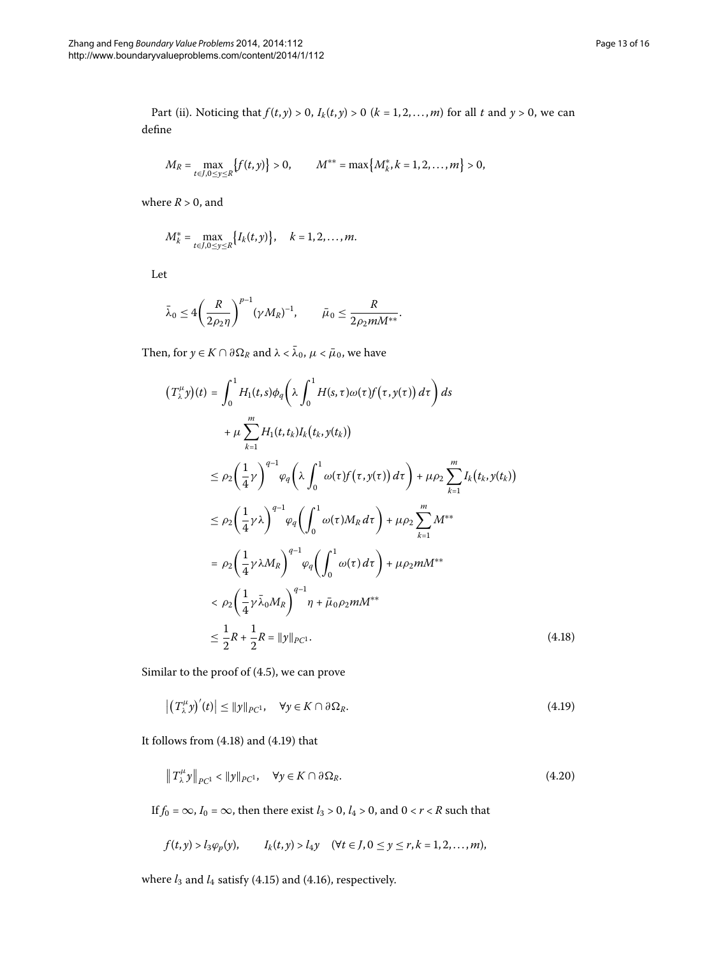Part (ii). Noticing that  $f(t, y) > 0$ ,  $I_k(t, y) > 0$  ( $k = 1, 2, ..., m$ ) for all  $t$  and  $y > 0$ , we can define

$$
M_R = \max_{t \in J, 0 \le y \le R} \{f(t, y)\} > 0, \qquad M^{**} = \max \{M_k^*, k = 1, 2, \dots, m\} > 0,
$$

where  $R > 0$ , and

$$
M_k^* = \max_{t \in J, 0 \le y \le R} \{ I_k(t, y) \}, \quad k = 1, 2, \dots, m.
$$

Let

$$
\bar{\lambda}_0 \le 4 \bigg( \frac{R}{2 \rho_2 \eta} \bigg)^{p-1} (\gamma M_R)^{-1}, \qquad \bar{\mu}_0 \le \frac{R}{2 \rho_2 m M^{**}}.
$$

Then, for  $y \in K \cap \partial \Omega_R$  and  $\lambda < \bar{\lambda}_0$ ,  $\mu < \bar{\mu}_0$ , we have

<span id="page-12-0"></span>
$$
(T_{\lambda}^{\mu}y)(t) = \int_{0}^{1} H_{1}(t,s)\phi_{q}\left(\lambda \int_{0}^{1} H(s,\tau)\omega(\tau)f(\tau,y(\tau)) d\tau\right) ds
$$
  
+  $\mu \sum_{k=1}^{m} H_{1}(t,t_{k})I_{k}(t_{k},y(t_{k}))$   

$$
\leq \rho_{2}\left(\frac{1}{4}\gamma\right)^{q-1} \varphi_{q}\left(\lambda \int_{0}^{1} \omega(\tau)f(\tau,y(\tau)) d\tau\right) + \mu \rho_{2} \sum_{k=1}^{m} I_{k}(t_{k},y(t_{k}))
$$
  

$$
\leq \rho_{2}\left(\frac{1}{4}\gamma\lambda\right)^{q-1} \varphi_{q}\left(\int_{0}^{1} \omega(\tau)M_{R} d\tau\right) + \mu \rho_{2} \sum_{k=1}^{m} M^{**}
$$
  

$$
= \rho_{2}\left(\frac{1}{4}\gamma\lambda M_{R}\right)^{q-1} \varphi_{q}\left(\int_{0}^{1} \omega(\tau) d\tau\right) + \mu \rho_{2} mM^{**}
$$
  

$$
< \rho_{2}\left(\frac{1}{4}\gamma\bar{\lambda}_{0}M_{R}\right)^{q-1} \eta + \bar{\mu}_{0}\rho_{2} mM^{**}
$$
  

$$
\leq \frac{1}{2}R + \frac{1}{2}R = ||y||_{PC1}.
$$
 (4.18)

Similar to the proof of  $(4.5)$ , we can prove

<span id="page-12-2"></span><span id="page-12-1"></span>
$$
\left| \left( T_{\lambda}^{\mu} y \right)'(t) \right| \le \| y \|_{PC^1}, \quad \forall y \in K \cap \partial \Omega_R. \tag{4.19}
$$

It follows from  $(4.18)$  $(4.18)$  $(4.18)$  and  $(4.19)$  that

$$
\|T_{\lambda}^{\mu}y\|_{PC^1} < \|y\|_{PC^1}, \quad \forall y \in K \cap \partial \Omega_R. \tag{4.20}
$$

If  $f_0 = \infty$ ,  $I_0 = \infty$ , then there exist  $l_3 > 0$ ,  $l_4 > 0$ , and  $0 < r < R$  such that

$$
f(t, y) > l_3 \varphi_p(y)
$$
,  $I_k(t, y) > l_4 y \quad (\forall t \in J, 0 \le y \le r, k = 1, 2, ..., m)$ ,

where  $l_3$  and  $l_4$  satisfy (4[.](#page-11-2)15) and (4.16), respectively.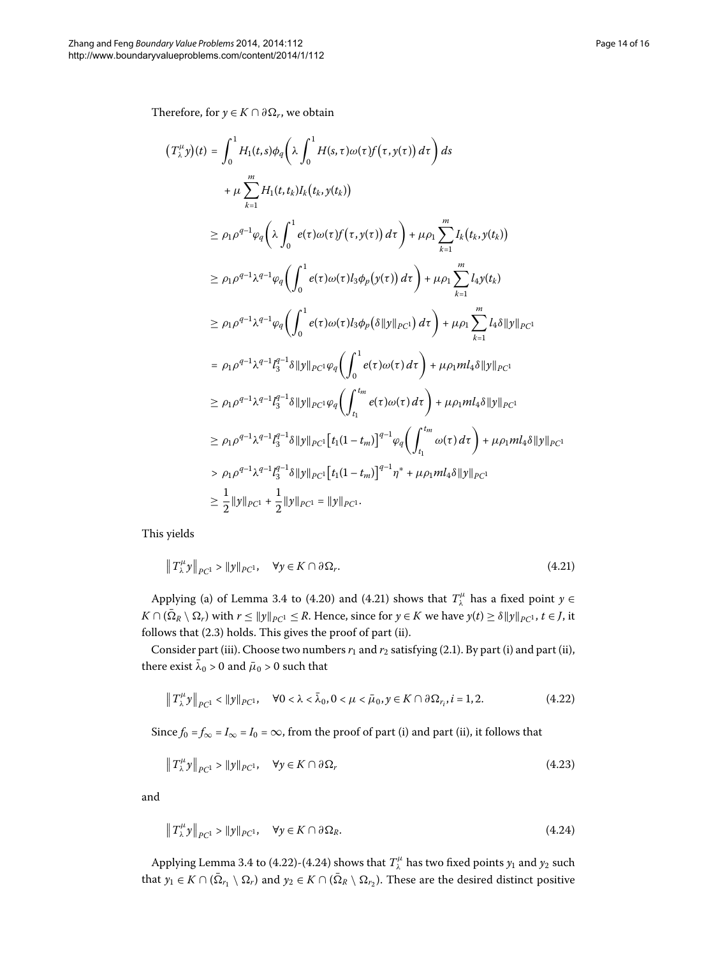Therefore, for  $y \in K \cap \partial \Omega_r$ , we obtain

$$
(T_{\lambda}^{\mu}y)(t) = \int_{0}^{1} H_{1}(t,s)\phi_{q}\left(\lambda \int_{0}^{1} H(s,\tau)\omega(\tau)f(\tau,y(\tau)) d\tau\right) ds
$$
  
\n
$$
+ \mu \sum_{k=1}^{m} H_{1}(t,t_{k})I_{k}(t_{k},y(t_{k}))
$$
  
\n
$$
\geq \rho_{1}\rho^{q-1}\varphi_{q}\left(\lambda \int_{0}^{1} e(\tau)\omega(\tau)f(\tau,y(\tau)) d\tau\right) + \mu \rho_{1} \sum_{k=1}^{m} I_{k}(t_{k},y(t_{k}))
$$
  
\n
$$
\geq \rho_{1}\rho^{q-1}\lambda^{q-1}\varphi_{q}\left(\int_{0}^{1} e(\tau)\omega(\tau)I_{3}\varphi_{p}(y(\tau)) d\tau\right) + \mu \rho_{1} \sum_{k=1}^{m} I_{4}y(t_{k})
$$
  
\n
$$
\geq \rho_{1}\rho^{q-1}\lambda^{q-1}\varphi_{q}\left(\int_{0}^{1} e(\tau)\omega(\tau)I_{3}\varphi_{p}(\delta\|y\|_{PC1}) d\tau\right) + \mu \rho_{1} \sum_{k=1}^{m} I_{4}\delta\|y\|_{PC1}
$$
  
\n
$$
= \rho_{1}\rho^{q-1}\lambda^{q-1}I_{3}^{q-1}\delta\|y\|_{PC1}\varphi_{q}\left(\int_{0}^{1} e(\tau)\omega(\tau) d\tau\right) + \mu \rho_{1}mI_{4}\delta\|y\|_{PC1}
$$
  
\n
$$
\geq \rho_{1}\rho^{q-1}\lambda^{q-1}I_{3}^{q-1}\delta\|y\|_{PC1}\varphi_{q}\left(\int_{t_{1}}^{t_{m}} e(\tau)\omega(\tau) d\tau\right) + \mu \rho_{1}mI_{4}\delta\|y\|_{PC1}
$$
  
\n
$$
\geq \rho_{1}\rho^{q-1}\lambda^{q-1}I_{3}^{q-1}\delta\|y\|_{PC1}\left[t_{1}(1-t_{m})\right]^{q-1}\varphi_{q}\left(\int_{t_{1}}^{t_{m}} \omega(\tau) d\tau\right) + \mu \rho_{1}mI_{4}\delta\|y\|_{PC1}
$$
  
\n
$$
> \rho_{1}\rho^{q-1
$$

This yields

<span id="page-13-1"></span><span id="page-13-0"></span>
$$
\|T^{\mu}_{\lambda}y\|_{PC^1} > \|y\|_{PC^1}, \quad \forall y \in K \cap \partial \Omega_r. \tag{4.21}
$$

Applying (a) of Lemma 3[.](#page-5-4)4 to (4.20) and (4.21) shows that  $T^{\mu}_{\lambda}$  has a fixed point  $y \in$ *K* ∩ ( $\overline{\Omega}_R \setminus \Omega_r$ ) with *r* ≤  $||y||_{PC^1}$  ≤ *R*. Hence, since for *y* ∈ *K* we have *y*(*t*) ≥  $\delta ||y||_{PC^1}$ , *t* ∈ *J*, it follows that  $(2.3)$  holds. This gives the proof of part (ii).

Consider part (iii)[.](#page-2-4) Choose two numbers  $r_1$  and  $r_2$  satisfying (2.1). By part (i) and part (ii), there exist  $\bar{\lambda}_0 > 0$  and  $\bar{\mu}_0 > 0$  such that

<span id="page-13-2"></span>
$$
\|T^{\mu}_{\lambda}y\|_{PC^1} < \|y\|_{PC^1}, \quad \forall 0 < \lambda < \bar{\lambda}_0, 0 < \mu < \bar{\mu}_0, y \in K \cap \partial \Omega_{r_i}, i = 1, 2. \tag{4.22}
$$

Since  $f_0 = f_\infty = I_\infty = I_0 = \infty$ , from the proof of part (i) and part (ii), it follows that

$$
\left\|T^{\mu}_{\lambda}y\right\|_{PC^1} > \|y\|_{PC^1}, \quad \forall y \in K \cap \partial \Omega_r \tag{4.23}
$$

and

$$
\|T^{\mu}_{\lambda}y\|_{PC^1} > \|y\|_{PC^1}, \quad \forall y \in K \cap \partial \Omega_R.
$$
\n(4.24)

Applying Lemma 3[.](#page-5-4)4 to (4.22)-(4.24) shows that  $T^{\mu}_{\lambda}$  has two fixed points  $y_1$  and  $y_2$  such that  $y_1 \in K \cap (\bar{\Omega}_{r_1} \setminus \Omega_r)$  and  $y_2 \in K \cap (\bar{\Omega}_R \setminus \Omega_{r_2})$ . These are the desired distinct positive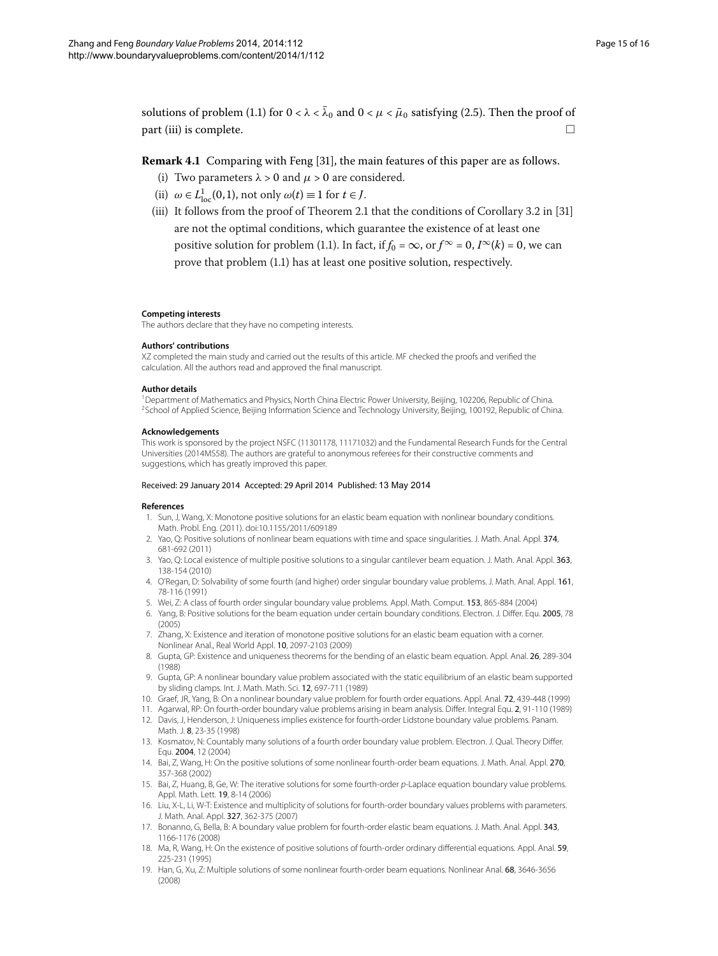solutions of problem (1.1) for  $0 < \lambda < \bar{\lambda}_0$  and  $0 < \mu < \bar{\mu}_0$  satisfying (2.5). Then the proof of  $\Box$  part (iii) is complete.  $\Box$ 

## **Remark 4.1** Comparing with Feng [\[](#page-15-2)31], the main features of this paper are as follows.

- (i) Two parameters  $\lambda > 0$  and  $\mu > 0$  are considered.
- (ii)  $\omega \in L^1_{loc}(0, 1)$ , not only  $\omega(t) \equiv 1$  for  $t \in J$ .
- (iii) It follows from the proof of Theorem 2[.](#page-2-3)1 that the conditions of Corollary 3.2 in  $[31]$ are not the optimal conditions, which guarantee the existence of at least one positive solution for problem (1.1). In fact, if  $f_0 = \infty$ , or  $f^{\infty} = 0$ ,  $I^{\infty}(k) = 0$ , we can prove that problem (1.1) has at least one positive solution, respectively.

#### <span id="page-14-1"></span><span id="page-14-0"></span>**Competing interests**

The authors declare that they have no competing interests.

#### **Authors' contributions**

XZ completed the main study and carried out the results of this article. MF checked the proofs and verified the calculation. All the authors read and approved the final manuscript.

#### **Author details**

<span id="page-14-2"></span>1Department of Mathematics and Physics, North China Electric Power University, Beijing, 102206, Republic of China. <sup>2</sup>School of Applied Science, Beijing Information Science and Technology University, Beijing, 100192, Republic of China.

#### <span id="page-14-3"></span>**Acknowledgements**

This work is sponsored by the project NSFC (11301178, 11171032) and the Fundamental Research Funds for the Central Universities (2014MS58). The authors are grateful to anonymous referees for their constructive comments and suggestions, which has greatly improved this paper.

#### Received: 29 January 2014 Accepted: 29 April 2014 Published: 13 May 2014

#### **References**

- 1. Sun, J, Wang, X: Monotone positive solutions for an elastic beam equation with nonlinear boundary conditions. Math. Probl. Eng. (2011). doi:[10.1155/2011/609189](http://dx.doi.org/10.1155/2011/609189)
- 2. Yao, Q: Positive solutions of nonlinear beam equations with time and space singularities. J. Math. Anal. Appl. 374, 681-692 (2011)
- 3. Yao, Q: Local existence of multiple positive solutions to a singular cantilever beam equation. J. Math. Anal. Appl. 363, 138-154 (2010)
- 4. O'Regan, D: Solvability of some fourth (and higher) order singular boundary value problems. J. Math. Anal. Appl. 161, 78-116 (1991)
- 5. Wei, Z: A class of fourth order singular boundary value problems. Appl. Math. Comput. 153, 865-884 (2004)
- 6. Yang, B: Positive solutions for the beam equation under certain boundary conditions. Electron. J. Differ. Equ. 2005, 78 (2005)
- 7. Zhang, X: Existence and iteration of monotone positive solutions for an elastic beam equation with a corner. Nonlinear Anal., Real World Appl. 10, 2097-2103 (2009)
- <span id="page-14-4"></span>8. Gupta, GP: Existence and uniqueness theorems for the bending of an elastic beam equation. Appl. Anal. 26, 289-304 (1988)
- 9. Gupta, GP: A nonlinear boundary value problem associated with the static equilibrium of an elastic beam supported by sliding clamps. Int. J. Math. Math. Sci. 12, 697-711 (1989)
- 10. Graef, JR, Yang, B: On a nonlinear boundary value problem for fourth order equations. Appl. Anal. 72, 439-448 (1999)
- 11. Agarwal, RP: On fourth-order boundary value problems arising in beam analysis. Differ. Integral Equ. 2, 91-110 (1989)
- 12. Davis, J, Henderson, J: Uniqueness implies existence for fourth-order Lidstone boundary value problems. Panam. Math. J. 8, 23-35 (1998)
- 13. Kosmatov, N: Countably many solutions of a fourth order boundary value problem. Electron. J. Qual. Theory Differ. Equ. 2004, 12 (2004)
- 14. Bai, Z, Wang, H: On the positive solutions of some nonlinear fourth-order beam equations. J. Math. Anal. Appl. 270, 357-368 (2002)
- 15. Bai, Z, Huang, B, Ge, W: The iterative solutions for some fourth-order p-Laplace equation boundary value problems. Appl. Math. Lett. 19, 8-14 (2006)
- 16. Liu, X-L, Li, W-T: Existence and multiplicity of solutions for fourth-order boundary values problems with parameters. J. Math. Anal. Appl. 327, 362-375 (2007)
- 17. Bonanno, G, Bella, B: A boundary value problem for fourth-order elastic beam equations. J. Math. Anal. Appl. 343, 1166-1176 (2008)
- 18. Ma, R, Wang, H: On the existence of positive solutions of fourth-order ordinary differential equations. Appl. Anal. 59, 225-231 (1995)
- 19. Han, G, Xu, Z: Multiple solutions of some nonlinear fourth-order beam equations. Nonlinear Anal. 68, 3646-3656 (2008)